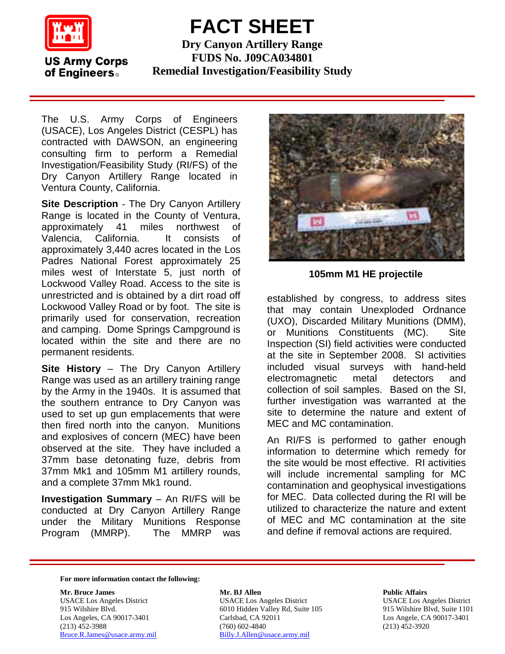

## **FACT SHEET**

**US Army Corps** of Engineers.

**Dry Canyon Artillery Range FUDS No. J09CA034801 Remedial Investigation/Feasibility Study**

The U.S. Army Corps of Engineers (USACE), Los Angeles District (CESPL) has contracted with DAWSON, an engineering consulting firm to perform a Remedial Investigation/Feasibility Study (RI/FS) of the Dry Canyon Artillery Range located in Ventura County, California.

**Site Description** - The Dry Canyon Artillery Range is located in the County of Ventura, approximately 41 miles northwest of Valencia, California. It consists of approximately 3,440 acres located in the Los Padres National Forest approximately 25 miles west of Interstate 5, just north of Lockwood Valley Road. Access to the site is unrestricted and is obtained by a dirt road off Lockwood Valley Road or by foot. The site is primarily used for conservation, recreation and camping. Dome Springs Campground is located within the site and there are no permanent residents.

**Site History** – The Dry Canyon Artillery Range was used as an artillery training range by the Army in the 1940s. It is assumed that the southern entrance to Dry Canyon was used to set up gun emplacements that were then fired north into the canyon. Munitions and explosives of concern (MEC) have been observed at the site. They have included a 37mm base detonating fuze, debris from 37mm Mk1 and 105mm M1 artillery rounds, and a complete 37mm Mk1 round.

**Investigation Summary** – An RI/FS will be conducted at Dry Canyon Artillery Range under the Military Munitions Response Program (MMRP). The MMRP was



**105mm M1 HE projectile**

established by congress, to address sites that may contain Unexploded Ordnance (UXO), Discarded Military Munitions (DMM), or Munitions Constituents (MC). Site Inspection (SI) field activities were conducted at the site in September 2008. SI activities included visual surveys with hand-held electromagnetic metal detectors and collection of soil samples. Based on the SI, further investigation was warranted at the site to determine the nature and extent of MEC and MC contamination.

An RI/FS is performed to gather enough information to determine which remedy for the site would be most effective. RI activities will include incremental sampling for MC contamination and geophysical investigations for MEC. Data collected during the RI will be utilized to characterize the nature and extent of MEC and MC contamination at the site and define if removal actions are required.

**For more information contact the following:** 

Los Angeles, CA 90017-3401 Carlsbad, CA 92<br>(213) 452-3988 (760) 602-4840

**Mr. Bruce James 2018 19 September 2018 19:30 Mr. BJ Allen** 2019 19:30 Public Affairs USACE Los Angeles District USACE Los Angeles District USACE Los Angeles District 915 Wilshire Blvd. 6010 Hidden Valley Rd, Suite 105 915 Wilshire Blvd, Suite 1101 Los Angeles, CA 90017-3401 Carlsbad, CA 92011 191 (213) 452-3988 (213) 452-3920<br>Bruce.R.James@usace.army.mil Billy.J.Allen@usace.army.mil (213) 452-3920 [Billy.J.Allen@usace.army.mil](mailto:Billy.J.Allen@usace.army.mil)